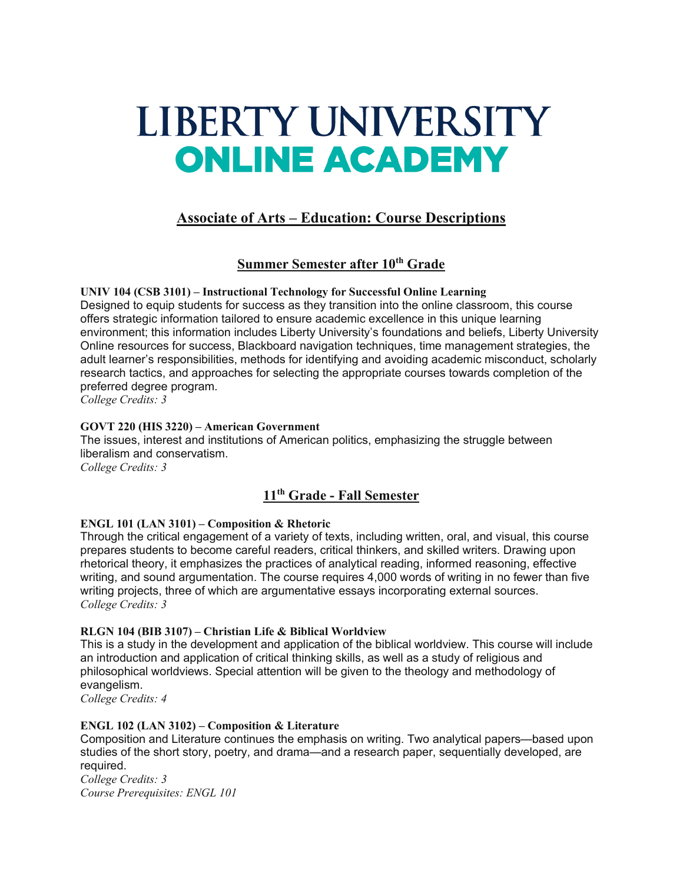# LIBERTY UNIVERSITY **ONLINE ACADEMY**

# **Associate of Arts – Education: Course Descriptions**

# **Summer Semester after 10th Grade**

**UNIV 104 (CSB 3101) – Instructional Technology for Successful Online Learning** Designed to equip students for success as they transition into the online classroom, this course offers strategic information tailored to ensure academic excellence in this unique learning environment; this information includes Liberty University's foundations and beliefs, Liberty University Online resources for success, Blackboard navigation techniques, time management strategies, the adult learner's responsibilities, methods for identifying and avoiding academic misconduct, scholarly research tactics, and approaches for selecting the appropriate courses towards completion of the preferred degree program.

*College Credits: 3*

# **GOVT 220 (HIS 3220) – American Government**

The issues, interest and institutions of American politics, emphasizing the struggle between liberalism and conservatism. *College Credits: 3*

# **11th Grade - Fall Semester**

# **ENGL 101 (LAN 3101) – Composition & Rhetoric**

Through the critical engagement of a variety of texts, including written, oral, and visual, this course prepares students to become careful readers, critical thinkers, and skilled writers. Drawing upon rhetorical theory, it emphasizes the practices of analytical reading, informed reasoning, effective writing, and sound argumentation. The course requires 4,000 words of writing in no fewer than five writing projects, three of which are argumentative essays incorporating external sources. *College Credits: 3*

# **RLGN 104 (BIB 3107) – Christian Life & Biblical Worldview**

This is a study in the development and application of the biblical worldview. This course will include an introduction and application of critical thinking skills, as well as a study of religious and philosophical worldviews. Special attention will be given to the theology and methodology of evangelism.

*College Credits: 4*

# **ENGL 102 (LAN 3102) – Composition & Literature**

Composition and Literature continues the emphasis on writing. Two analytical papers—based upon studies of the short story, poetry, and drama—and a research paper, sequentially developed, are required.

*College Credits: 3 Course Prerequisites: ENGL 101*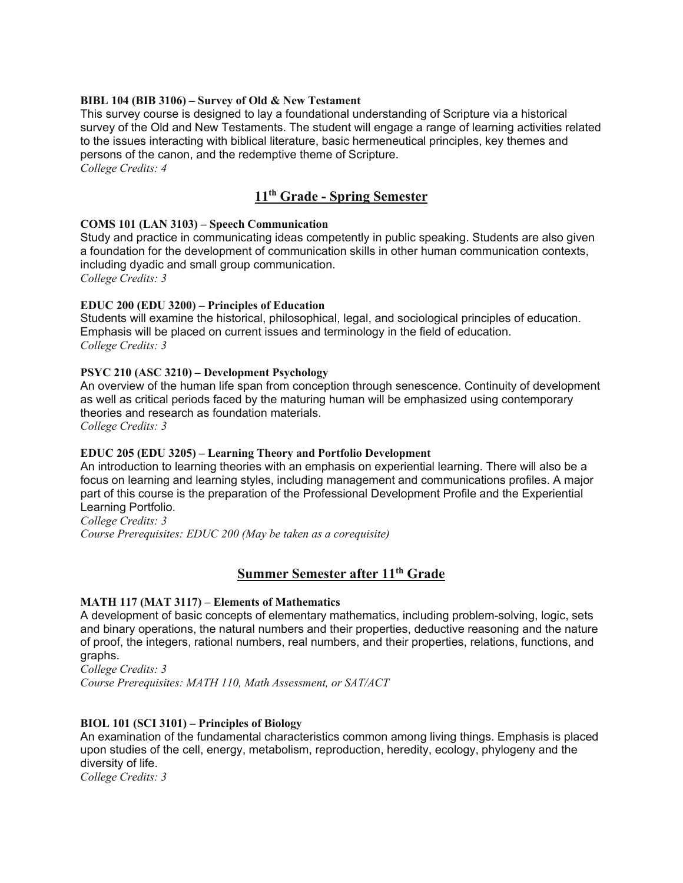## **BIBL 104 (BIB 3106) – Survey of Old & New Testament**

This survey course is designed to lay a foundational understanding of Scripture via a historical survey of the Old and New Testaments. The student will engage a range of learning activities related to the issues interacting with biblical literature, basic hermeneutical principles, key themes and persons of the canon, and the redemptive theme of Scripture. *College Credits: 4*

# **11th Grade - Spring Semester**

# **COMS 101 (LAN 3103) – Speech Communication**

Study and practice in communicating ideas competently in public speaking. Students are also given a foundation for the development of communication skills in other human communication contexts, including dyadic and small group communication. *College Credits: 3*

## **EDUC 200 (EDU 3200) – Principles of Education**

Students will examine the historical, philosophical, legal, and sociological principles of education. Emphasis will be placed on current issues and terminology in the field of education. *College Credits: 3*

## **PSYC 210 (ASC 3210) – Development Psychology**

An overview of the human life span from conception through senescence. Continuity of development as well as critical periods faced by the maturing human will be emphasized using contemporary theories and research as foundation materials. *College Credits: 3*

# **EDUC 205 (EDU 3205) – Learning Theory and Portfolio Development**

An introduction to learning theories with an emphasis on experiential learning. There will also be a focus on learning and learning styles, including management and communications profiles. A major part of this course is the preparation of the Professional Development Profile and the Experiential Learning Portfolio.

*College Credits: 3 Course Prerequisites: EDUC 200 (May be taken as a corequisite)*

# **Summer Semester after 11th Grade**

#### **MATH 117 (MAT 3117) – Elements of Mathematics**

A development of basic concepts of elementary mathematics, including problem-solving, logic, sets and binary operations, the natural numbers and their properties, deductive reasoning and the nature of proof, the integers, rational numbers, real numbers, and their properties, relations, functions, and graphs.

*College Credits: 3 Course Prerequisites: MATH 110, Math Assessment, or SAT/ACT*

# **BIOL 101 (SCI 3101) – Principles of Biology**

An examination of the fundamental characteristics common among living things. Emphasis is placed upon studies of the cell, energy, metabolism, reproduction, heredity, ecology, phylogeny and the diversity of life.

*College Credits: 3*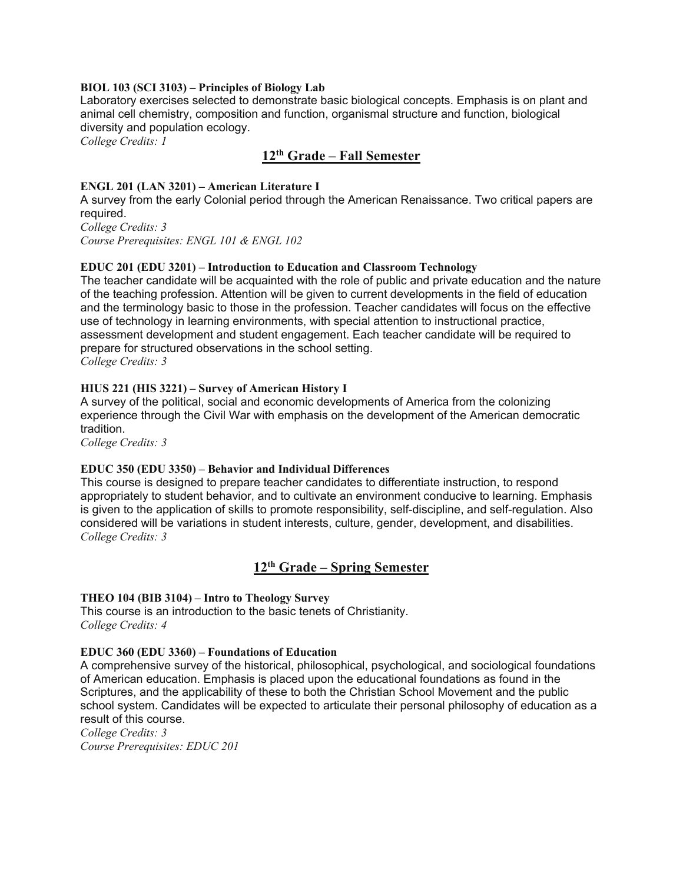#### **BIOL 103 (SCI 3103) – Principles of Biology Lab**

Laboratory exercises selected to demonstrate basic biological concepts. Emphasis is on plant and animal cell chemistry, composition and function, organismal structure and function, biological diversity and population ecology.

*College Credits: 1*

# **12th Grade – Fall Semester**

## **ENGL 201 (LAN 3201) – American Literature I**

A survey from the early Colonial period through the American Renaissance. Two critical papers are required.

*College Credits: 3 Course Prerequisites: ENGL 101 & ENGL 102*

## **EDUC 201 (EDU 3201) – Introduction to Education and Classroom Technology**

The teacher candidate will be acquainted with the role of public and private education and the nature of the teaching profession. Attention will be given to current developments in the field of education and the terminology basic to those in the profession. Teacher candidates will focus on the effective use of technology in learning environments, with special attention to instructional practice, assessment development and student engagement. Each teacher candidate will be required to prepare for structured observations in the school setting. *College Credits: 3*

## **HIUS 221 (HIS 3221) – Survey of American History I**

A survey of the political, social and economic developments of America from the colonizing experience through the Civil War with emphasis on the development of the American democratic tradition.

*College Credits: 3*

#### **EDUC 350 (EDU 3350) – Behavior and Individual Differences**

This course is designed to prepare teacher candidates to differentiate instruction, to respond appropriately to student behavior, and to cultivate an environment conducive to learning. Emphasis is given to the application of skills to promote responsibility, self-discipline, and self-regulation. Also considered will be variations in student interests, culture, gender, development, and disabilities. *College Credits: 3*

# **12th Grade – Spring Semester**

#### **THEO 104 (BIB 3104) – Intro to Theology Survey**

This course is an introduction to the basic tenets of Christianity. *College Credits: 4*

#### **EDUC 360 (EDU 3360) – Foundations of Education**

A comprehensive survey of the historical, philosophical, psychological, and sociological foundations of American education. Emphasis is placed upon the educational foundations as found in the Scriptures, and the applicability of these to both the Christian School Movement and the public school system. Candidates will be expected to articulate their personal philosophy of education as a result of this course.

*College Credits: 3 Course Prerequisites: EDUC 201*